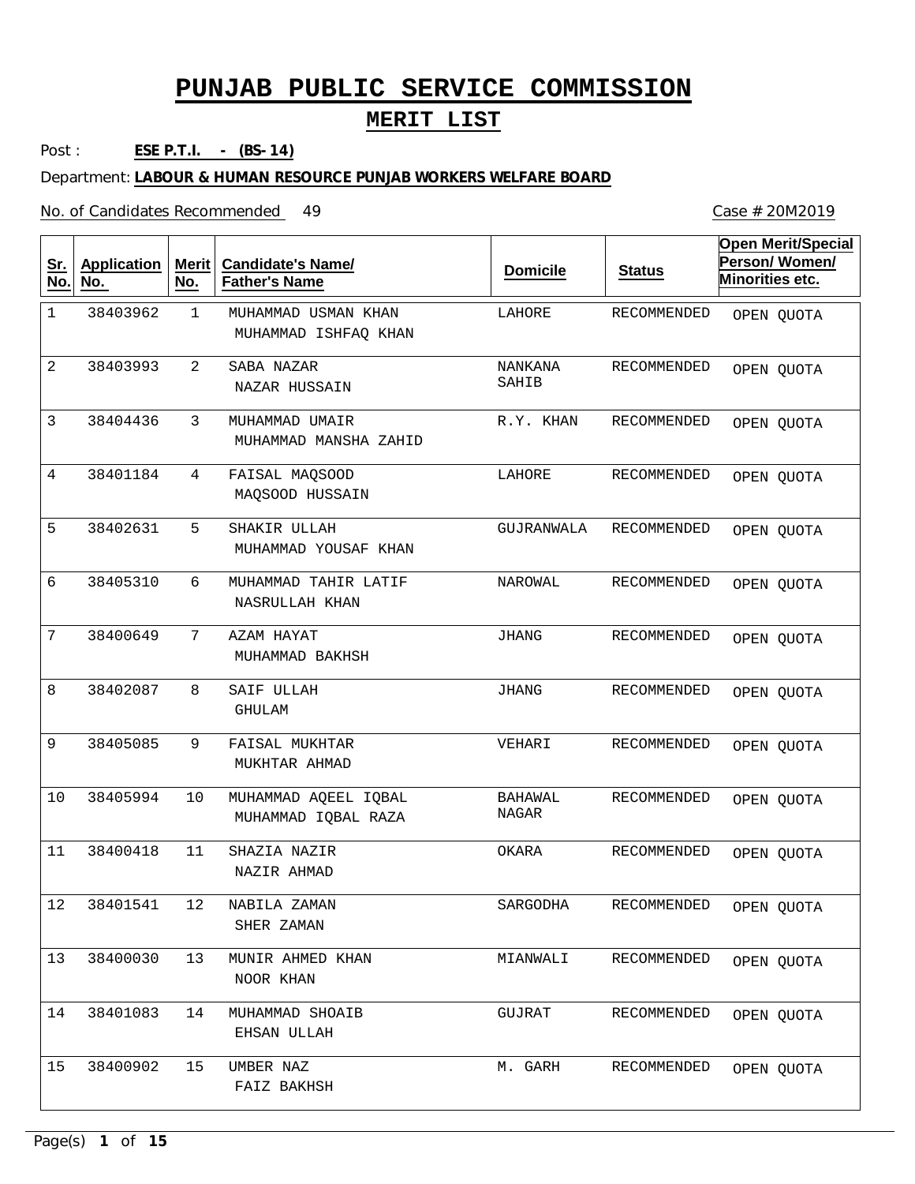#### **MERIT LIST**

Post : **ESE P.T.I. - (BS-14)**

Department: **LABOUR & HUMAN RESOURCE PUNJAB WORKERS WELFARE BOARD**

No. of Candidates Recommended

1 2 3 4 5 6 7 8 9 10 11 12 13 14 15 MUHAMMAD USMAN KHAN SABA NAZAR MUHAMMAD UMAIR FAISAL MAQSOOD SHAKIR ULLAH MUHAMMAD TAHIR LATIF AZAM HAYAT SAIF ULLAH FAISAL MUKHTAR MUHAMMAD AQEEL IQBAL SHAZIA NAZIR NABILA ZAMAN MUNIR AHMED KHAN MUHAMMAD SHOAIB UMBER NAZ MUHAMMAD ISHFAQ KHAN NAZAR HUSSAIN MUHAMMAD MANSHA ZAHID MAQSOOD HUSSAIN MUHAMMAD YOUSAF KHAN NASRULLAH KHAN MUHAMMAD BAKHSH GHULAM MUKHTAR AHMAD MUHAMMAD IQBAL RAZA NAZIR AHMAD SHER ZAMAN NOOR KHAN EHSAN ULLAH FAIZ BAKHSH 1 2 3 4 5 6 7 8 9 10 11 12 13 14 15 38403962 38403993 38404436 38401184 38402631 38405310 38400649 38402087 38405085 38405994 38400418 38401541 38400030 38401083 38400902 LAHORE NANKANA SAHIB R.Y. KHAN LAHORE GUJRANWALA NAROWAL JHANG JHANG VEHARI BAHAWAL NAGAR OKARA SARGODHA MIANWALI GUJRAT M. GARH RECOMMENDED RECOMMENDED RECOMMENDED RECOMMENDED RECOMMENDED RECOMMENDED RECOMMENDED RECOMMENDED RECOMMENDED RECOMMENDED RECOMMENDED RECOMMENDED RECOMMENDED RECOMMENDED RECOMMENDED **Sr. No. Application No. Merit No. Candidate's Name/ Father's Name Domicile Status Open Merit/Special Person/ Women/ Minorities etc.** OPEN QUOTA OPEN QUOTA OPEN QUOTA OPEN QUOTA OPEN QUOTA OPEN QUOTA OPEN QUOTA OPEN QUOTA OPEN QUOTA OPEN QUOTA OPEN QUOTA OPEN QUOTA OPEN QUOTA OPEN QUOTA OPEN QUOTA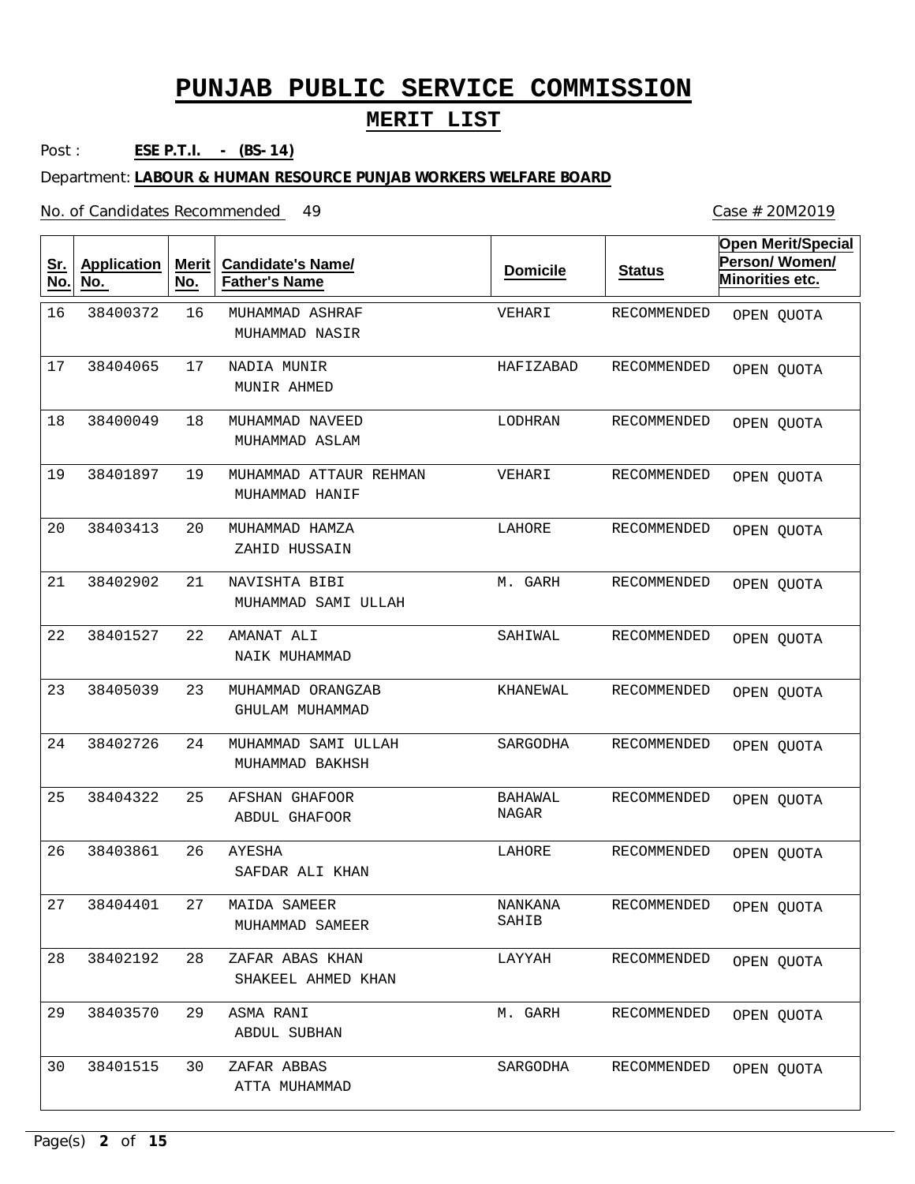#### **MERIT LIST**

Post : **ESE P.T.I. - (BS-14)**

Department: **LABOUR & HUMAN RESOURCE PUNJAB WORKERS WELFARE BOARD**

No. of Candidates Recommended

16 17 18 19 20 21 22 23 24 25 26 27 28 29 30 MUHAMMAD ASHRAF NADIA MUNIR MUHAMMAD NAVEED MUHAMMAD ATTAUR REHMAN MUHAMMAD HAMZA NAVISHTA BIBI AMANAT ALI MUHAMMAD ORANGZAB MUHAMMAD SAMI ULLAH AFSHAN GHAFOOR AYESHA MAIDA SAMEER ZAFAR ABAS KHAN ASMA RANI ZAFAR ABBAS MUHAMMAD NASIR MUNIR AHMED MUHAMMAD ASLAM MUHAMMAD HANIF ZAHID HUSSAIN MUHAMMAD SAMI ULLAH NAIK MUHAMMAD GHULAM MUHAMMAD MUHAMMAD BAKHSH ABDUL GHAFOOR SAFDAR ALI KHAN MUHAMMAD SAMEER SHAKEEL AHMED KHAN ABDUL SUBHAN ATTA MUHAMMAD 16 17 18 19 20 21 22 23 24 25 26 27 28 29 30 38400372 38404065 38400049 38401897 38403413 38402902 38401527 38405039 38402726 38404322 38403861 38404401 38402192 38403570 38401515 VEHARI HAFIZABAD LODHRAN VEHARI LAHORE M. GARH SAHIWAL KHANEWAL SARGODHA BAHAWAL NAGAR LAHORE NANKANA SAHIB LAYYAH M. GARH SARGODHA RECOMMENDED RECOMMENDED RECOMMENDED RECOMMENDED RECOMMENDED RECOMMENDED RECOMMENDED RECOMMENDED RECOMMENDED RECOMMENDED RECOMMENDED RECOMMENDED RECOMMENDED RECOMMENDED RECOMMENDED **Sr. No. Application No. Merit No. Candidate's Name/ Father's Name Domicile Status Open Merit/Special Person/ Women/ Minorities etc.** OPEN QUOTA OPEN QUOTA OPEN QUOTA OPEN QUOTA OPEN QUOTA OPEN QUOTA OPEN QUOTA OPEN QUOTA OPEN QUOTA OPEN QUOTA OPEN QUOTA OPEN QUOTA OPEN QUOTA OPEN QUOTA OPEN QUOTA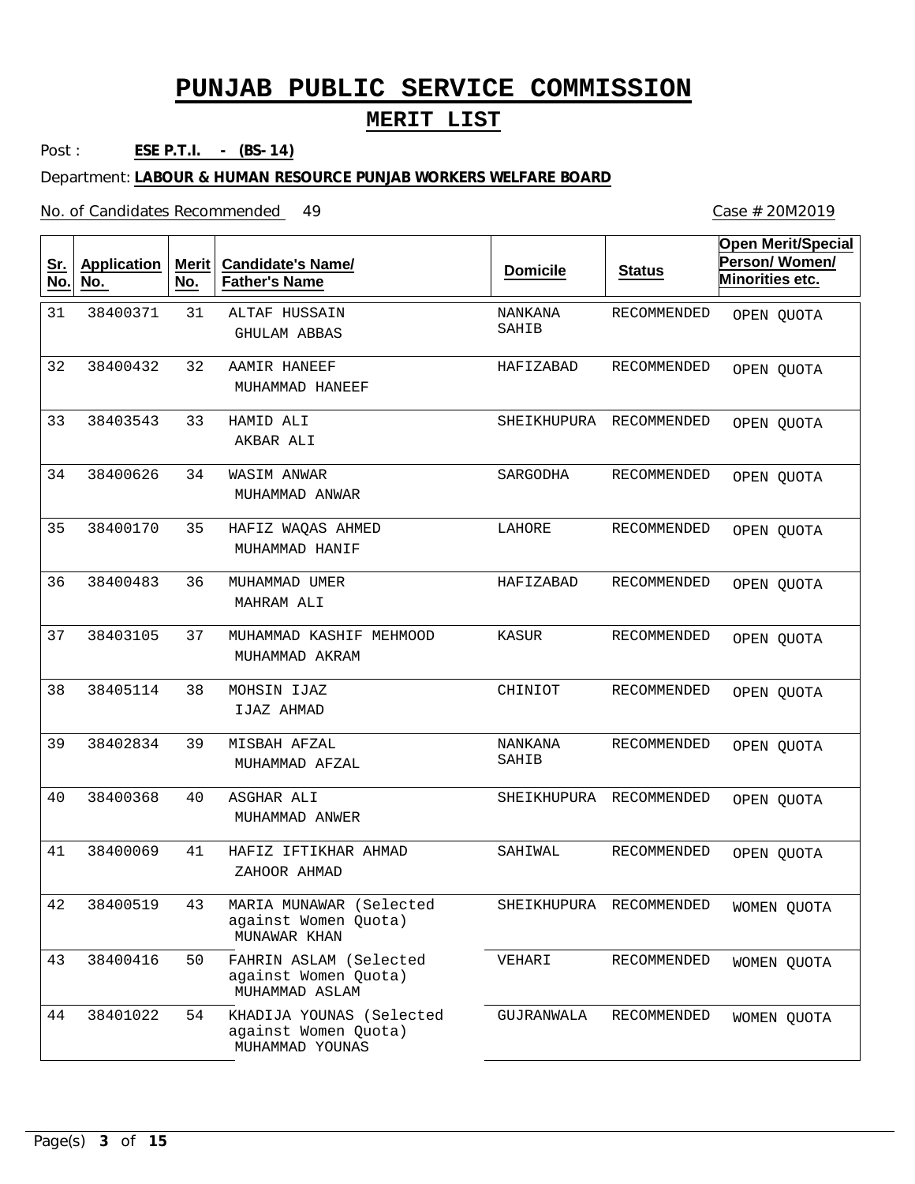#### **MERIT LIST**

Post : **ESE P.T.I. - (BS-14)**

Department: **LABOUR & HUMAN RESOURCE PUNJAB WORKERS WELFARE BOARD**

No. of Candidates Recommended

31 32 33 34 35 36 37 38 39 40 41 43 50 54 ALTAF HUSSAIN AAMIR HANEEF HAMID ALI WASIM ANWAR HAFIZ WAQAS AHMED MUHAMMAD UMER MUHAMMAD KASHIF MEHMOOD MOHSIN IJAZ MISBAH AFZAL ASGHAR ALI HAFIZ IFTIKHAR AHMAD MARIA MUNAWAR (Selected against Women Quota) FAHRIN ASLAM (Selected against Women Quota) KHADIJA YOUNAS (Selected against Women Quota) GHULAM ABBAS MUHAMMAD HANEEF AKBAR ALI MUHAMMAD ANWAR MUHAMMAD HANIF MAHRAM ALI MUHAMMAD AKRAM IJAZ AHMAD MUHAMMAD AFZAL MUHAMMAD ANWER ZAHOOR AHMAD MUNAWAR KHAN MUHAMMAD ASLAM MUHAMMAD YOUNAS 31 32 33 34 35 36 37 38 39 40 41 42 43 44 38400371 38400432 38403543 38400626 38400170 38400483 38403105 38405114 38402834 38400368 38400069 38400519 38400416 38401022 NANKANA SAHIB HAFIZABAD SHEIKHUPURA RECOMMENDED SARGODHA LAHORE HAFIZABAD KASUR CHINIOT NANKANA SAHIB SHEIKHUPURA RECOMMENDED SAHIWAL SHEIKHUPURA RECOMMENDED VEHARI GUJRANWALA RECOMMENDED RECOMMENDED RECOMMENDED RECOMMENDED RECOMMENDED RECOMMENDED RECOMMENDED RECOMMENDED RECOMMENDED RECOMMENDED RECOMMENDED **Sr. No. Application No. Merit No. Candidate's Name/ Father's Name Domicile Status Open Merit/Special Person/ Women/ Minorities etc.** OPEN QUOTA OPEN QUOTA OPEN QUOTA OPEN QUOTA OPEN QUOTA OPEN QUOTA OPEN QUOTA OPEN QUOTA OPEN QUOTA OPEN QUOTA OPEN QUOTA WOMEN QUOTA WOMEN QUOTA WOMEN QUOTA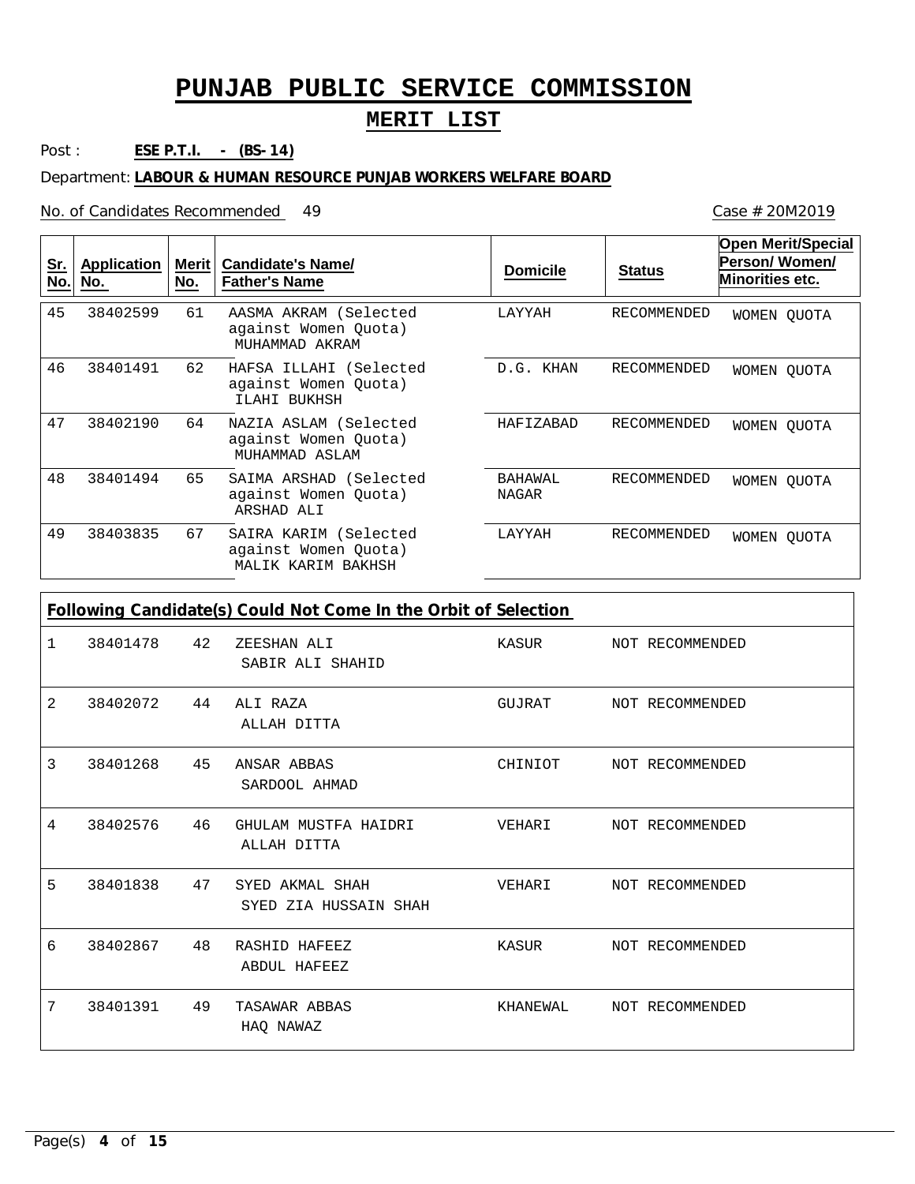### **MERIT LIST**

Post : **ESE P.T.I. - (BS-14)**

Department: **LABOUR & HUMAN RESOURCE PUNJAB WORKERS WELFARE BOARD**

No. of Candidates Recommended

| <u>Sr.</u><br>No. | <b>Application</b><br>No. | <b>Merit</b><br>No. | <b>Candidate's Name/</b><br><b>Father's Name</b>                    | <b>Domicile</b>         | <b>Status</b>      | <b>Open Merit/Special</b><br>Person/Women/<br><b>Minorities etc.</b> |
|-------------------|---------------------------|---------------------|---------------------------------------------------------------------|-------------------------|--------------------|----------------------------------------------------------------------|
| 45                | 38402599                  | 61                  | AASMA AKRAM (Selected<br>against Women Quota)<br>MUHAMMAD AKRAM     | LAYYAH                  | <b>RECOMMENDED</b> | WOMEN QUOTA                                                          |
| 46                | 38401491                  | 62                  | HAFSA ILLAHI (Selected<br>against Women Quota)<br>ILAHI BUKHSH      | D.G. KHAN               | <b>RECOMMENDED</b> | WOMEN QUOTA                                                          |
| 47                | 38402190                  | 64                  | NAZIA ASLAM (Selected<br>against Women Quota)<br>MUHAMMAD ASLAM     | HAFIZABAD               | RECOMMENDED        | WOMEN QUOTA                                                          |
| 48                | 38401494                  | 65                  | SAIMA ARSHAD (Selected<br>against Women Quota)<br>ARSHAD ALI        | BAHAWAL<br><b>NAGAR</b> | <b>RECOMMENDED</b> | WOMEN QUOTA                                                          |
| 49                | 38403835                  | 67                  | SAIRA KARIM (Selected<br>against Women Quota)<br>MALIK KARIM BAKHSH | LAYYAH                  | RECOMMENDED        | WOMEN QUOTA                                                          |
|                   |                           |                     | Following Candidate(s) Could Not Come In the Orbit of Selection     |                         |                    |                                                                      |
| 1                 | 38401478                  | 42                  | ZEESHAN ALI<br>SABIR ALI SHAHID                                     | KASUR                   | NOT RECOMMENDED    |                                                                      |
| 2                 | 38402072                  | 44                  | ALI RAZA<br>ALLAH DITTA                                             | GUJRAT                  | NOT RECOMMENDED    |                                                                      |
| 3                 | 38401268                  | 45                  | ANSAR ABBAS<br>SARDOOL AHMAD                                        | CHINIOT                 | NOT RECOMMENDED    |                                                                      |
| 4                 | 38402576                  | 46                  | GHULAM MUSTFA HAIDRI<br>ALLAH DITTA                                 | VEHARI                  | NOT RECOMMENDED    |                                                                      |
| 5                 | 38401838                  | 47                  | SYED AKMAL SHAH<br>SYED ZIA HUSSAIN SHAH                            | VEHARI                  | NOT RECOMMENDED    |                                                                      |
| 6                 | 38402867                  | 48                  | RASHID HAFEEZ<br>ABDUL HAFEEZ                                       | KASUR                   | NOT RECOMMENDED    |                                                                      |
| 7                 | 38401391                  | 49                  | TASAWAR ABBAS<br>HAQ NAWAZ                                          | KHANEWAL                | NOT RECOMMENDED    |                                                                      |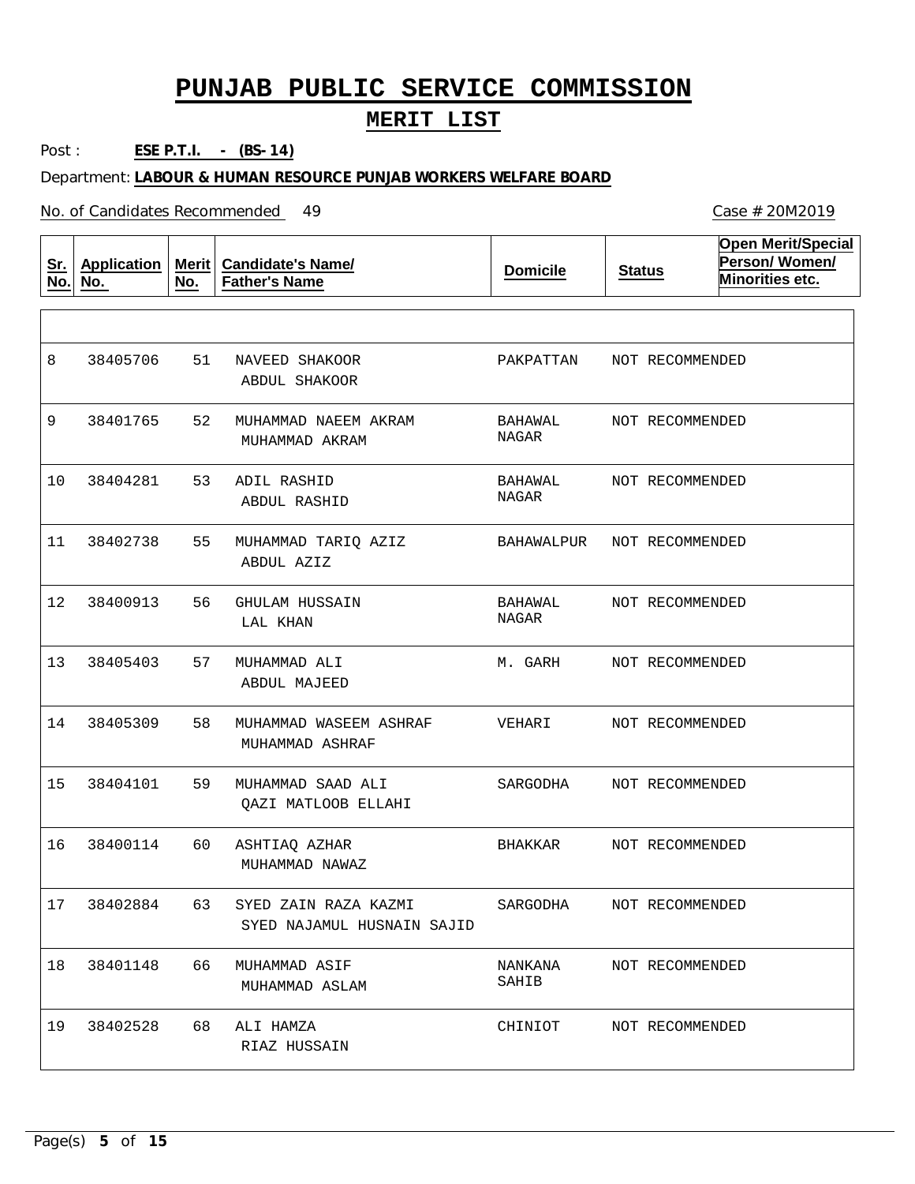#### **MERIT LIST**

Post : **ESE P.T.I. - (BS-14)**

Department: **LABOUR & HUMAN RESOURCE PUNJAB WORKERS WELFARE BOARD**

| <u>Sr.</u><br>No. | <b>Application</b><br>No. | <b>Merit</b><br>No. | <b>Candidate's Name/</b><br><b>Father's Name</b>   | <b>Domicile</b>  | <b>Status</b>   | <b>Open Merit/Special</b><br>Person/Women/<br>Minorities etc. |
|-------------------|---------------------------|---------------------|----------------------------------------------------|------------------|-----------------|---------------------------------------------------------------|
|                   |                           |                     |                                                    |                  |                 |                                                               |
| 8                 | 38405706                  | 51                  | NAVEED SHAKOOR<br>ABDUL SHAKOOR                    | PAKPATTAN        | NOT RECOMMENDED |                                                               |
| 9                 | 38401765                  | 52                  | MUHAMMAD NAEEM AKRAM<br>MUHAMMAD AKRAM             | BAHAWAL<br>NAGAR | NOT RECOMMENDED |                                                               |
| 10                | 38404281                  | 53                  | ADIL RASHID<br>ABDUL RASHID                        | BAHAWAL<br>NAGAR | NOT RECOMMENDED |                                                               |
| 11                | 38402738                  | 55                  | MUHAMMAD TARIQ AZIZ<br>ABDUL AZIZ                  | BAHAWALPUR       | NOT RECOMMENDED |                                                               |
| 12                | 38400913                  | 56                  | GHULAM HUSSAIN<br>LAL KHAN                         | BAHAWAL<br>NAGAR | NOT RECOMMENDED |                                                               |
| 13                | 38405403                  | 57                  | MUHAMMAD ALI<br>ABDUL MAJEED                       | M. GARH          | NOT RECOMMENDED |                                                               |
| 14                | 38405309                  | 58                  | MUHAMMAD WASEEM ASHRAF<br>MUHAMMAD ASHRAF          | VEHARI           | NOT RECOMMENDED |                                                               |
| 15                | 38404101                  | 59                  | MUHAMMAD SAAD ALI<br>QAZI MATLOOB ELLAHI           | SARGODHA         | NOT RECOMMENDED |                                                               |
| 16                | 38400114                  | 60                  | ASHTIAQ AZHAR<br>MUHAMMAD NAWAZ                    | BHAKKAR          | NOT RECOMMENDED |                                                               |
| 17                | 38402884                  | 63                  | SYED ZAIN RAZA KAZMI<br>SYED NAJAMUL HUSNAIN SAJID | SARGODHA         | NOT RECOMMENDED |                                                               |
| 18                | 38401148                  | 66                  | MUHAMMAD ASIF<br>MUHAMMAD ASLAM                    | NANKANA<br>SAHIB | NOT RECOMMENDED |                                                               |
| 19                | 38402528                  | 68                  | ALI HAMZA<br>RIAZ HUSSAIN                          | CHINIOT          | NOT RECOMMENDED |                                                               |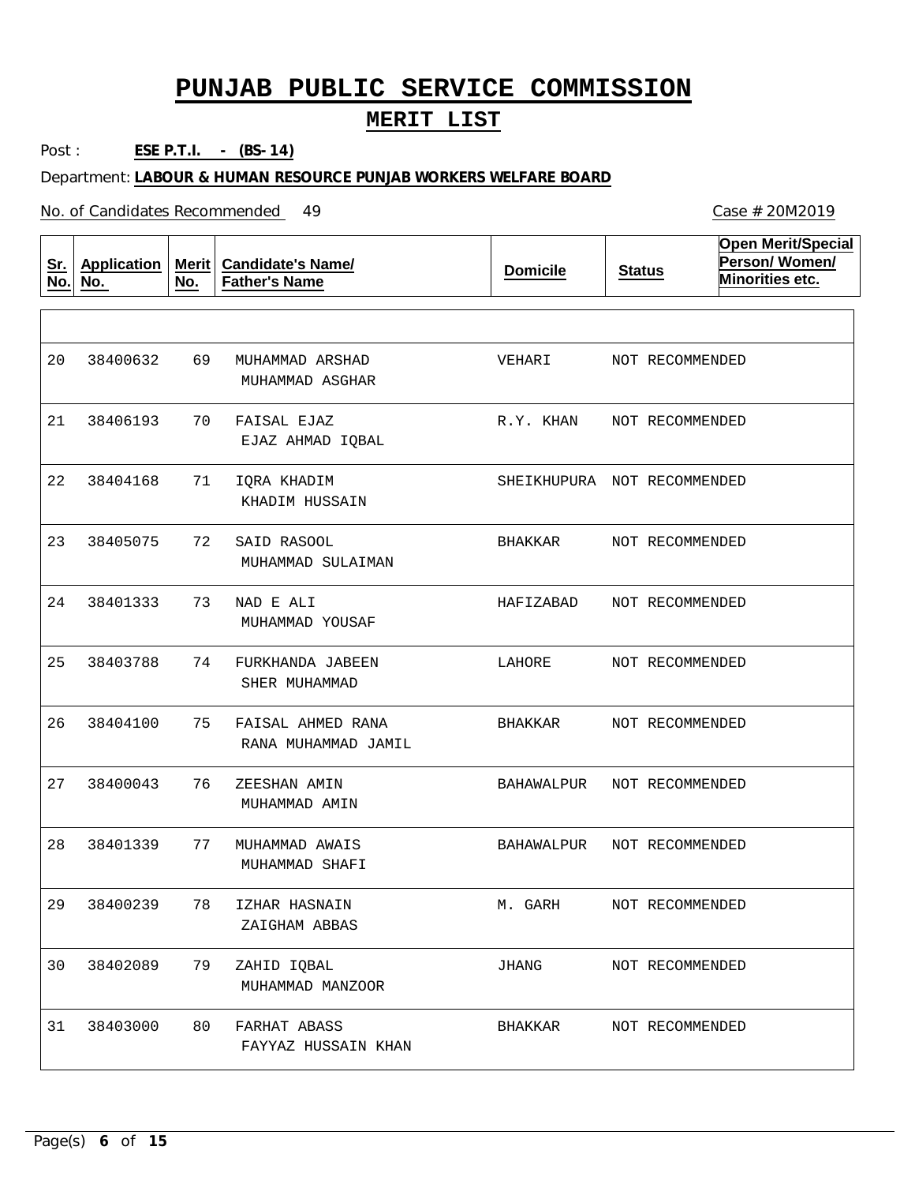#### **MERIT LIST**

Post : **ESE P.T.I. - (BS-14)**

Department: **LABOUR & HUMAN RESOURCE PUNJAB WORKERS WELFARE BOARD**

| <u>Sr.</u><br>No. | <b>Application</b><br>No. | <b>Merit</b><br>No. | <b>Candidate's Name/</b><br><b>Father's Name</b> | <b>Domicile</b>             | <b>Status</b>   | <b>Open Merit/Special</b><br>Person/Women/<br>Minorities etc. |
|-------------------|---------------------------|---------------------|--------------------------------------------------|-----------------------------|-----------------|---------------------------------------------------------------|
|                   |                           |                     |                                                  |                             |                 |                                                               |
| 20                | 38400632                  | 69                  | MUHAMMAD ARSHAD<br>MUHAMMAD ASGHAR               | VEHARI                      | NOT RECOMMENDED |                                                               |
| 21                | 38406193                  | 70                  | FAISAL EJAZ<br>EJAZ AHMAD IQBAL                  | R.Y. KHAN                   | NOT RECOMMENDED |                                                               |
| 22                | 38404168                  | 71                  | IQRA KHADIM<br>KHADIM HUSSAIN                    | SHEIKHUPURA NOT RECOMMENDED |                 |                                                               |
| 23                | 38405075                  | 72                  | SAID RASOOL<br>MUHAMMAD SULAIMAN                 | BHAKKAR                     | NOT RECOMMENDED |                                                               |
| 24                | 38401333                  | 73                  | NAD E ALI<br>MUHAMMAD YOUSAF                     | HAFIZABAD                   | NOT RECOMMENDED |                                                               |
| 25                | 38403788                  | 74                  | FURKHANDA JABEEN<br>SHER MUHAMMAD                | LAHORE                      | NOT RECOMMENDED |                                                               |
| 26                | 38404100                  | 75                  | FAISAL AHMED RANA<br>RANA MUHAMMAD JAMIL         | BHAKKAR                     | NOT RECOMMENDED |                                                               |
| 27                | 38400043                  | 76                  | ZEESHAN AMIN<br>MUHAMMAD AMIN                    | BAHAWALPUR                  | NOT RECOMMENDED |                                                               |
| 28                | 38401339                  | 77                  | MUHAMMAD AWAIS<br>MUHAMMAD SHAFI                 | BAHAWALPUR                  | NOT RECOMMENDED |                                                               |
| 29                | 38400239                  | 78                  | IZHAR HASNAIN<br>ZAIGHAM ABBAS                   | M. GARH                     | NOT RECOMMENDED |                                                               |
| 30                | 38402089                  | 79                  | ZAHID IQBAL<br>MUHAMMAD MANZOOR                  | JHANG                       | NOT RECOMMENDED |                                                               |
| 31                | 38403000                  | 80                  | FARHAT ABASS<br>FAYYAZ HUSSAIN KHAN              | BHAKKAR                     | NOT RECOMMENDED |                                                               |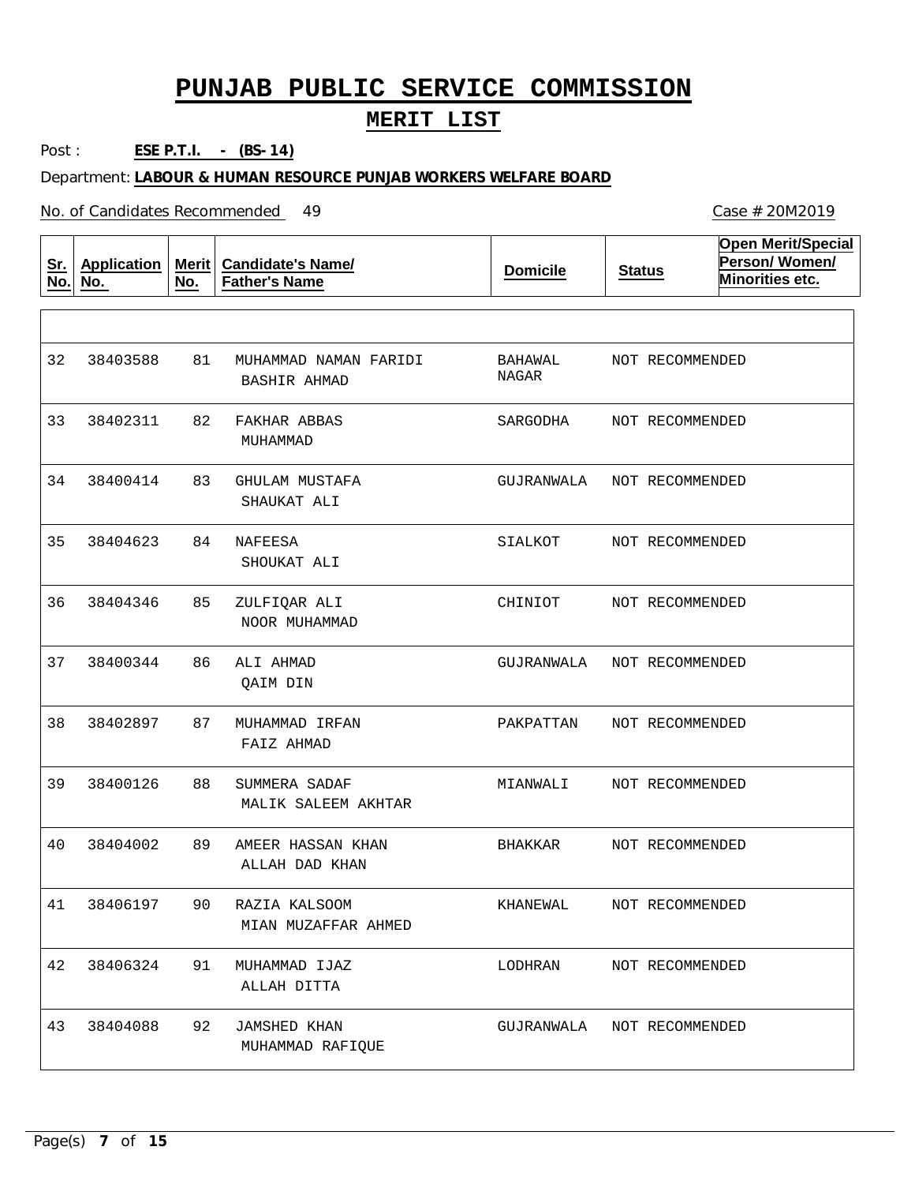#### **MERIT LIST**

Post : **ESE P.T.I. - (BS-14)**

Department: **LABOUR & HUMAN RESOURCE PUNJAB WORKERS WELFARE BOARD**

| <u>Sr.</u><br>No. | <b>Application</b><br>No. | <b>Merit</b><br>No. | <b>Candidate's Name/</b><br><b>Father's Name</b> | <b>Domicile</b>  | <b>Status</b>   | <b>Open Merit/Special</b><br>Person/Women/<br>Minorities etc. |
|-------------------|---------------------------|---------------------|--------------------------------------------------|------------------|-----------------|---------------------------------------------------------------|
|                   |                           |                     |                                                  |                  |                 |                                                               |
| 32                | 38403588                  | 81                  | MUHAMMAD NAMAN FARIDI<br>BASHIR AHMAD            | BAHAWAL<br>NAGAR | NOT RECOMMENDED |                                                               |
| 33                | 38402311                  | 82                  | FAKHAR ABBAS<br>MUHAMMAD                         | SARGODHA         | NOT RECOMMENDED |                                                               |
| 34                | 38400414                  | 83                  | GHULAM MUSTAFA<br>SHAUKAT ALI                    | GUJRANWALA       | NOT RECOMMENDED |                                                               |
| 35                | 38404623                  | 84                  | NAFEESA<br>SHOUKAT ALI                           | SIALKOT          | NOT RECOMMENDED |                                                               |
| 36                | 38404346                  | 85                  | ZULFIQAR ALI<br>NOOR MUHAMMAD                    | CHINIOT          | NOT RECOMMENDED |                                                               |
| 37                | 38400344                  | 86                  | ALI AHMAD<br>QAIM DIN                            | GUJRANWALA       | NOT RECOMMENDED |                                                               |
| 38                | 38402897                  | 87                  | MUHAMMAD IRFAN<br>FAIZ AHMAD                     | PAKPATTAN        | NOT RECOMMENDED |                                                               |
| 39                | 38400126                  | 88                  | SUMMERA SADAF<br>MALIK SALEEM AKHTAR             | MIANWALI         | NOT RECOMMENDED |                                                               |
| 40                | 38404002                  | 89                  | AMEER HASSAN KHAN<br>ALLAH DAD KHAN              | BHAKKAR          | NOT RECOMMENDED |                                                               |
| 41                | 38406197                  | 90                  | RAZIA KALSOOM<br>MIAN MUZAFFAR AHMED             | KHANEWAL         | NOT RECOMMENDED |                                                               |
| 42                | 38406324                  | 91                  | MUHAMMAD IJAZ<br>ALLAH DITTA                     | LODHRAN          | NOT RECOMMENDED |                                                               |
| 43                | 38404088                  | 92                  | <b>JAMSHED KHAN</b><br>MUHAMMAD RAFIQUE          | GUJRANWALA       | NOT RECOMMENDED |                                                               |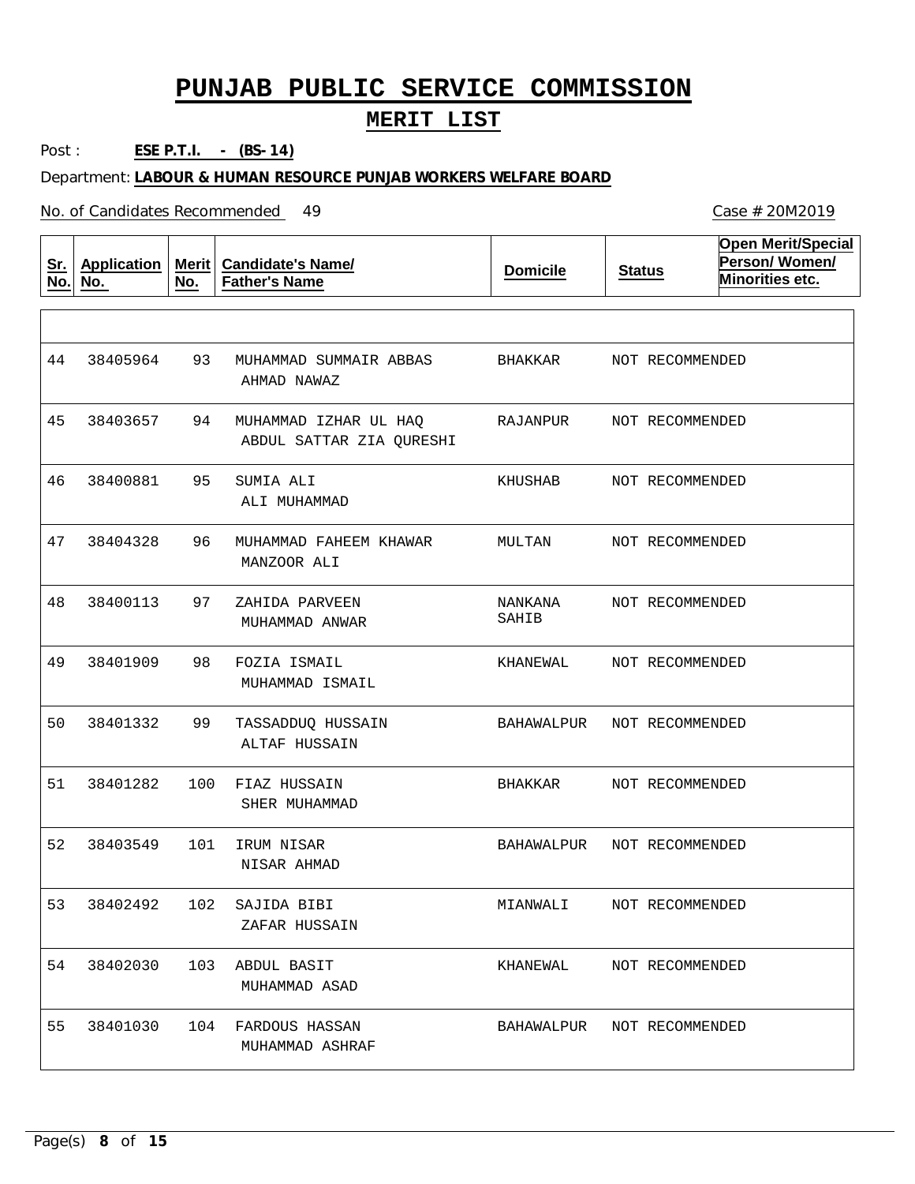#### **MERIT LIST**

Post : **ESE P.T.I. - (BS-14)**

Department: **LABOUR & HUMAN RESOURCE PUNJAB WORKERS WELFARE BOARD**

No. of Candidates Recommended

**Sr. No. Application No. Merit No. Candidate's Name/ Father's Name Domicile Status Open Merit/Special Person/ Women/ Minorities etc.** 93 94 95 96 97 98 99 100 FIAZ HUSSAIN 101 IRUM NISAR 102 SAJIDA BIBI 103 ABDUL BASIT 104 FARDOUS HASSAN MUHAMMAD SUMMAIR ABBAS MUHAMMAD IZHAR UL HAQ SUMIA ALI MUHAMMAD FAHEEM KHAWAR ZAHIDA PARVEEN FOZIA ISMAIL TASSADDUQ HUSSAIN AHMAD NAWAZ ABDUL SATTAR ZIA QURESHI ALI MUHAMMAD MANZOOR ALI MUHAMMAD ANWAR MUHAMMAD ISMAIL ALTAF HUSSAIN SHER MUHAMMAD NISAR AHMAD ZAFAR HUSSAIN MUHAMMAD ASAD MUHAMMAD ASHRAF 44 45 46 47 48 49 50 51 52 53 54 55 38405964 38403657 38400881 38404328 38400113 38401909 38401332 38401282 38403549 38402492 38402030 38401030 BHAKKAR RAJANPUR KHUSHAB MULTAN NANKANA SAHIB KHANEWAL BAHAWALPUR BHAKKAR BAHAWALPUR MIANWALI KHANEWAL BAHAWALPUR NOT RECOMMENDED NOT RECOMMENDED NOT RECOMMENDED NOT RECOMMENDED NOT RECOMMENDED NOT RECOMMENDED NOT RECOMMENDED NOT RECOMMENDED NOT RECOMMENDED NOT RECOMMENDED NOT RECOMMENDED NOT RECOMMENDED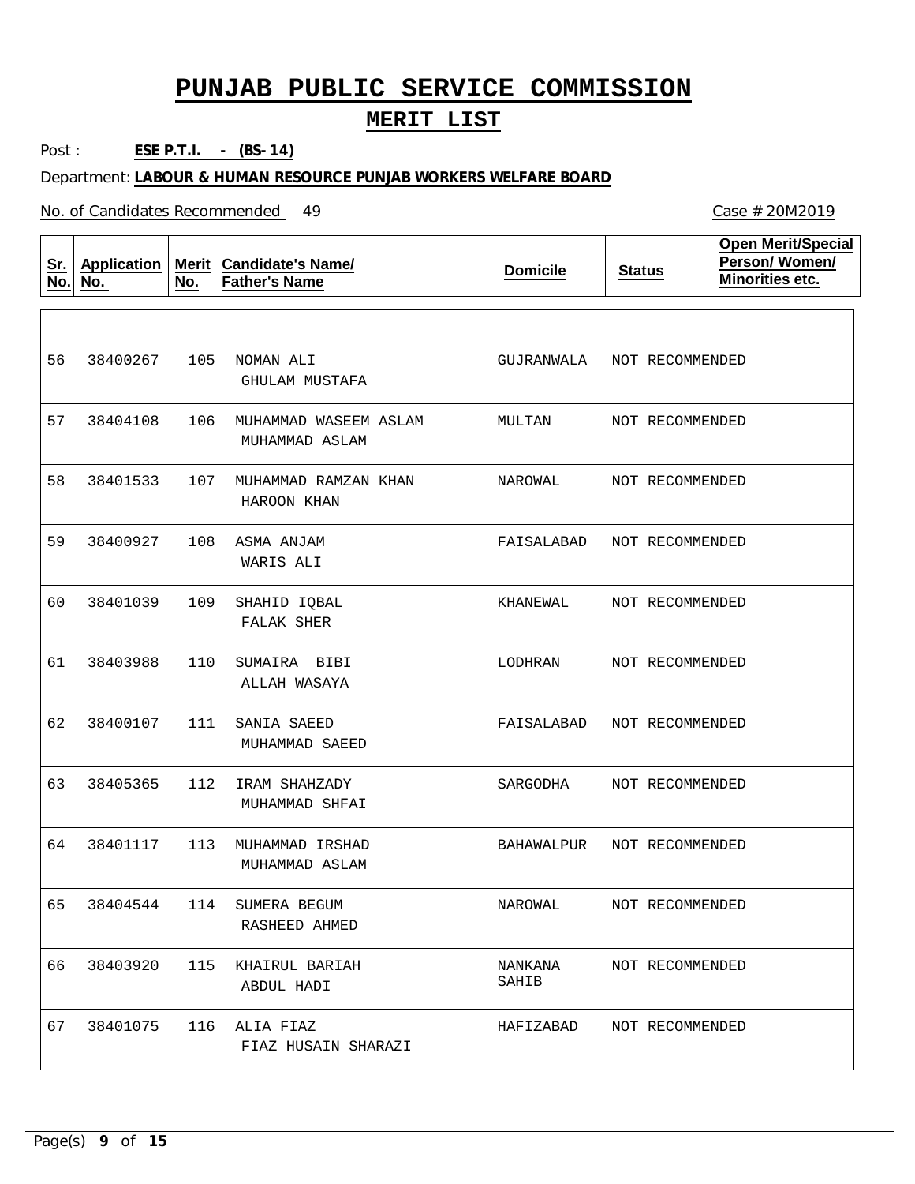#### **MERIT LIST**

Post : **ESE P.T.I. - (BS-14)**

Department: **LABOUR & HUMAN RESOURCE PUNJAB WORKERS WELFARE BOARD**

No. of Candidates Recommended

**Sr. No. Application No. Merit No. Candidate's Name/ Father's Name Domicile Status Open Merit/Special Person/ Women/ Minorities etc.** 105 NOMAN ALI 106 MUHAMMAD WASEEM ASLAM 107 MUHAMMAD RAMZAN KHAN 108 ASMA ANJAM 109 110 111 SANIA SAEED 112 IRAM SHAHZADY 113 MUHAMMAD IRSHAD 114 SUMERA BEGUM 115 KHAIRUL BARIAH 116 ALIA FIAZ SHAHID IQBAL SUMAIRA BIBI GHULAM MUSTAFA MUHAMMAD ASLAM HAROON KHAN WARIS ALI FALAK SHER ALLAH WASAYA MUHAMMAD SAEED MUHAMMAD SHFAI MUHAMMAD ASLAM RASHEED AHMED ABDUL HADI FIAZ HUSAIN SHARAZI 56 57 38404108 58 59 60 61 62 63 64 65 66 67 38400267 38401533 38400927 38401039 38403988 38400107 38405365 38401117 38404544 38403920 38401075 GUJRANWALA MULTAN NAROWAL FAISALABAD KHANEWAL LODHRAN FAISALABAD SARGODHA BAHAWALPUR NAROWAL NANKANA SAHIB HAFIZABAD NOT RECOMMENDED NOT RECOMMENDED NOT RECOMMENDED NOT RECOMMENDED NOT RECOMMENDED NOT RECOMMENDED NOT RECOMMENDED NOT RECOMMENDED NOT RECOMMENDED NOT RECOMMENDED NOT RECOMMENDED NOT RECOMMENDED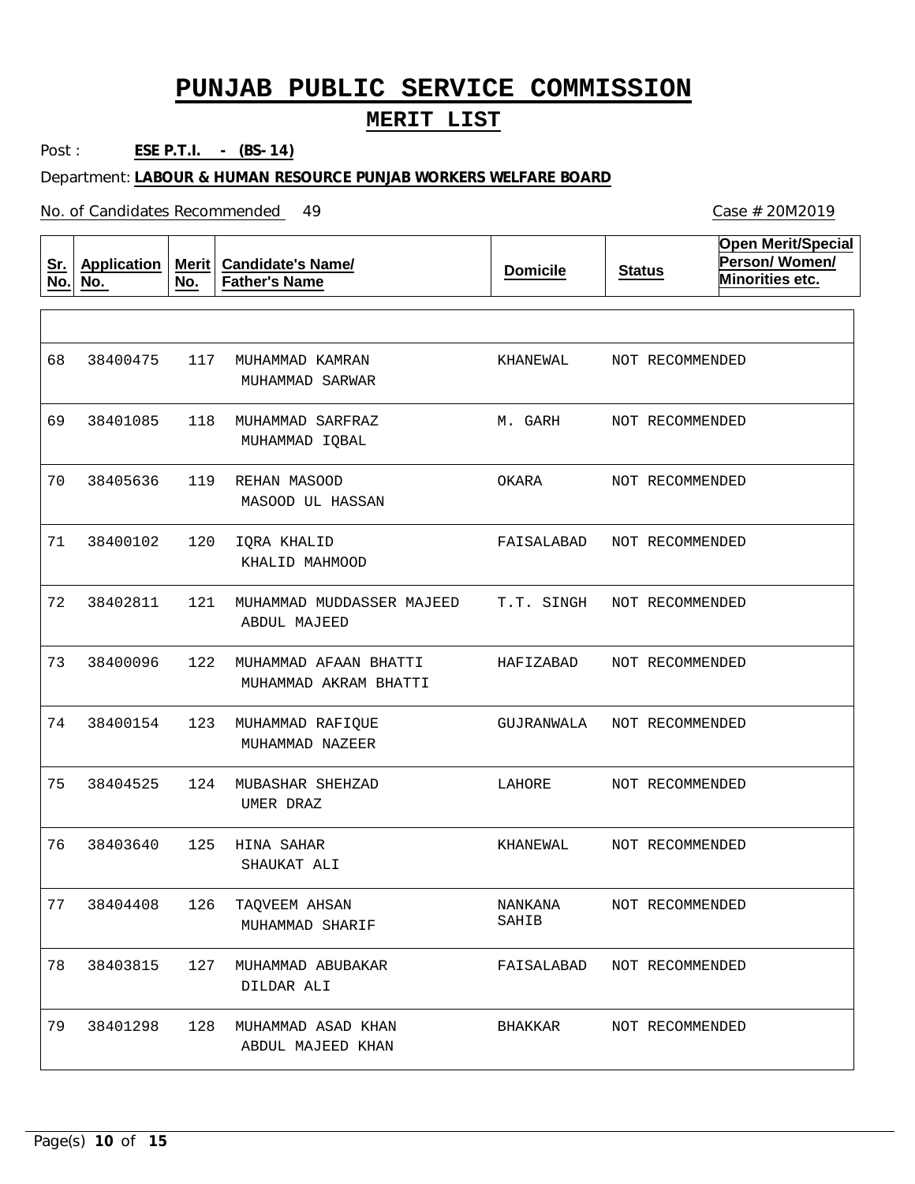#### **MERIT LIST**

Post : **ESE P.T.I. - (BS-14)**

Department: **LABOUR & HUMAN RESOURCE PUNJAB WORKERS WELFARE BOARD**

No. of Candidates Recommended

| <u>Sr.</u><br>No. | <b>Application</b><br>No. | <b>Merit</b><br>No. | <b>Candidate's Name/</b><br><b>Father's Name</b> | <b>Domicile</b>  | <b>Status</b>              | <b>Open Merit/Special</b><br>Person/Women/<br>Minorities etc. |
|-------------------|---------------------------|---------------------|--------------------------------------------------|------------------|----------------------------|---------------------------------------------------------------|
|                   |                           |                     |                                                  |                  |                            |                                                               |
| 68                | 38400475                  | 117                 | MUHAMMAD KAMRAN<br>MUHAMMAD SARWAR               | KHANEWAL         | NOT RECOMMENDED            |                                                               |
| 69                | 38401085                  | 118                 | MUHAMMAD SARFRAZ<br>MUHAMMAD IQBAL               | M. GARH          | NOT RECOMMENDED            |                                                               |
| 70                | 38405636                  | 119                 | REHAN MASOOD<br>MASOOD UL HASSAN                 | OKARA            | NOT RECOMMENDED            |                                                               |
| 71                | 38400102                  | 120                 | IQRA KHALID<br>KHALID MAHMOOD                    | FAISALABAD       | NOT RECOMMENDED            |                                                               |
| 72                | 38402811                  | 121                 | MUHAMMAD MUDDASSER MAJEED<br>ABDUL MAJEED        | T.T. SINGH       | NOT RECOMMENDED            |                                                               |
| 73                | 38400096                  | 122                 | MUHAMMAD AFAAN BHATTI<br>MUHAMMAD AKRAM BHATTI   | HAFIZABAD        | NOT RECOMMENDED            |                                                               |
| 74                | 38400154                  | 123                 | MUHAMMAD RAFIQUE<br>MUHAMMAD NAZEER              | GUJRANWALA       | NOT RECOMMENDED            |                                                               |
| 75                | 38404525                  | 124                 | MUBASHAR SHEHZAD<br>UMER DRAZ                    | LAHORE           | NOT RECOMMENDED            |                                                               |
| 76                | 38403640                  | 125                 | HINA SAHAR<br>SHAUKAT ALI                        | KHANEWAL         | NOT RECOMMENDED            |                                                               |
| 77                | 38404408                  | 126                 | TAOVEEM AHSAN<br>MUHAMMAD SHARIF                 | NANKANA<br>SAHIB | NOT RECOMMENDED            |                                                               |
| 78                | 38403815                  | 127                 | MUHAMMAD ABUBAKAR<br>DILDAR ALI                  |                  | FAISALABAD NOT RECOMMENDED |                                                               |
| 79                | 38401298                  |                     | 128 MUHAMMAD ASAD KHAN<br>ABDUL MAJEED KHAN      | BHAKKAR          | NOT RECOMMENDED            |                                                               |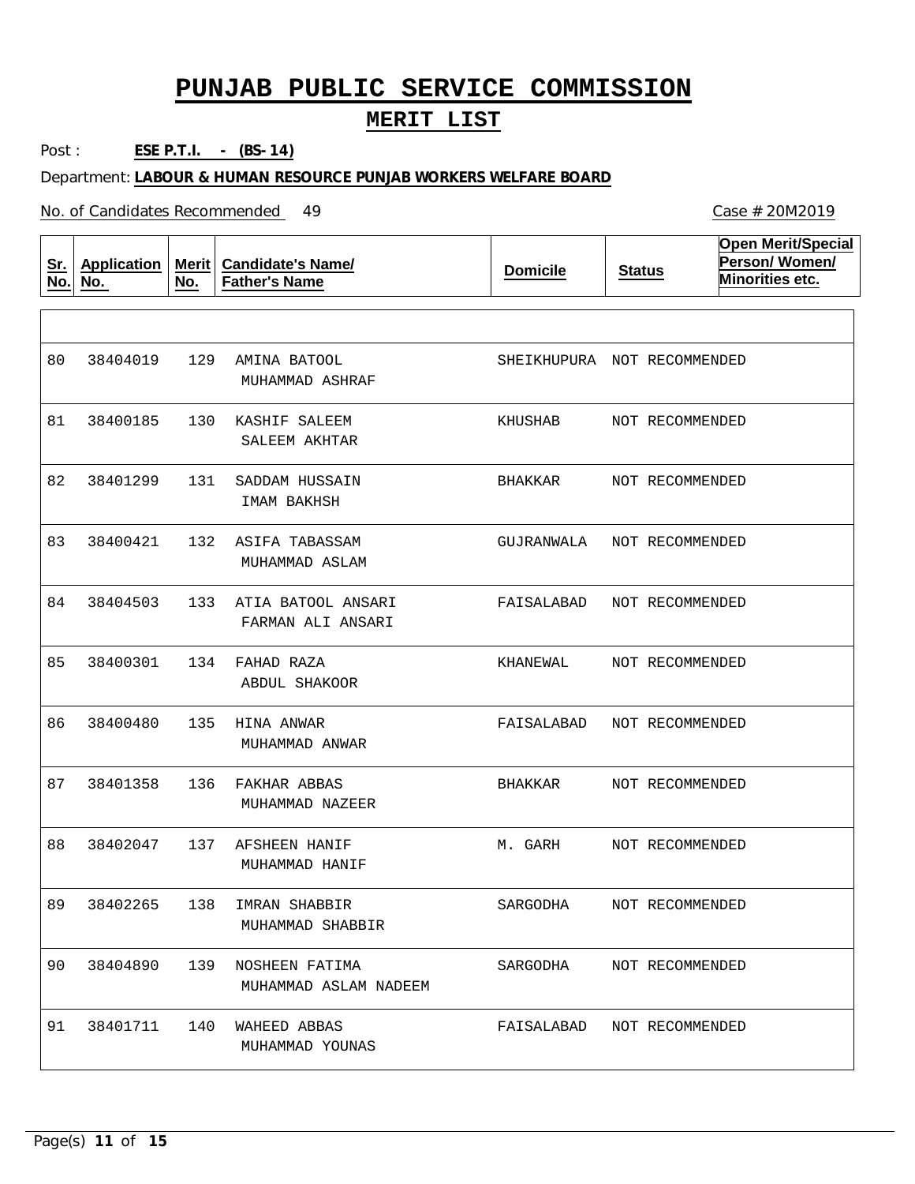#### **MERIT LIST**

Post : **ESE P.T.I. - (BS-14)**

Department: **LABOUR & HUMAN RESOURCE PUNJAB WORKERS WELFARE BOARD**

No. of Candidates Recommended

| <u>Sr.</u><br>No. | <b>Application</b><br>No. | <b>Merit</b><br>No. | <b>Candidate's Name/</b><br><b>Father's Name</b> | <b>Domicile</b>             | <b>Status</b>   | <b>Open Merit/Special</b><br>Person/Women/<br>Minorities etc. |
|-------------------|---------------------------|---------------------|--------------------------------------------------|-----------------------------|-----------------|---------------------------------------------------------------|
|                   |                           |                     |                                                  |                             |                 |                                                               |
| 80                | 38404019                  | 129                 | AMINA BATOOL<br>MUHAMMAD ASHRAF                  | SHEIKHUPURA NOT RECOMMENDED |                 |                                                               |
| 81                | 38400185                  | 130                 | KASHIF SALEEM<br>SALEEM AKHTAR                   | KHUSHAB                     | NOT RECOMMENDED |                                                               |
| 82                | 38401299                  | 131                 | SADDAM HUSSAIN<br>IMAM BAKHSH                    | BHAKKAR                     | NOT RECOMMENDED |                                                               |
| 83                | 38400421                  | 132                 | ASIFA TABASSAM<br>MUHAMMAD ASLAM                 | GUJRANWALA                  | NOT RECOMMENDED |                                                               |
| 84                | 38404503                  | 133                 | ATIA BATOOL ANSARI<br>FARMAN ALI ANSARI          | FAISALABAD                  | NOT RECOMMENDED |                                                               |
| 85                | 38400301                  | 134                 | FAHAD RAZA<br><b>ABDUL SHAKOOR</b>               | KHANEWAL                    | NOT RECOMMENDED |                                                               |
| 86                | 38400480                  | 135                 | HINA ANWAR<br>MUHAMMAD ANWAR                     | FAISALABAD                  | NOT RECOMMENDED |                                                               |
| 87                | 38401358                  | 136                 | FAKHAR ABBAS<br>MUHAMMAD NAZEER                  | BHAKKAR                     | NOT RECOMMENDED |                                                               |
| 88                | 38402047                  | 137                 | AFSHEEN HANIF<br>MUHAMMAD HANIF                  | M. GARH                     | NOT RECOMMENDED |                                                               |
| 89                | 38402265                  | 138                 | IMRAN SHABBIR<br>MUHAMMAD SHABBIR                | SARGODHA                    | NOT RECOMMENDED |                                                               |
| 90                | 38404890                  | 139                 | NOSHEEN FATIMA<br>MUHAMMAD ASLAM NADEEM          | SARGODHA                    | NOT RECOMMENDED |                                                               |
| 91                | 38401711                  | 140                 | WAHEED ABBAS<br>MUHAMMAD YOUNAS                  | FAISALABAD NOT RECOMMENDED  |                 |                                                               |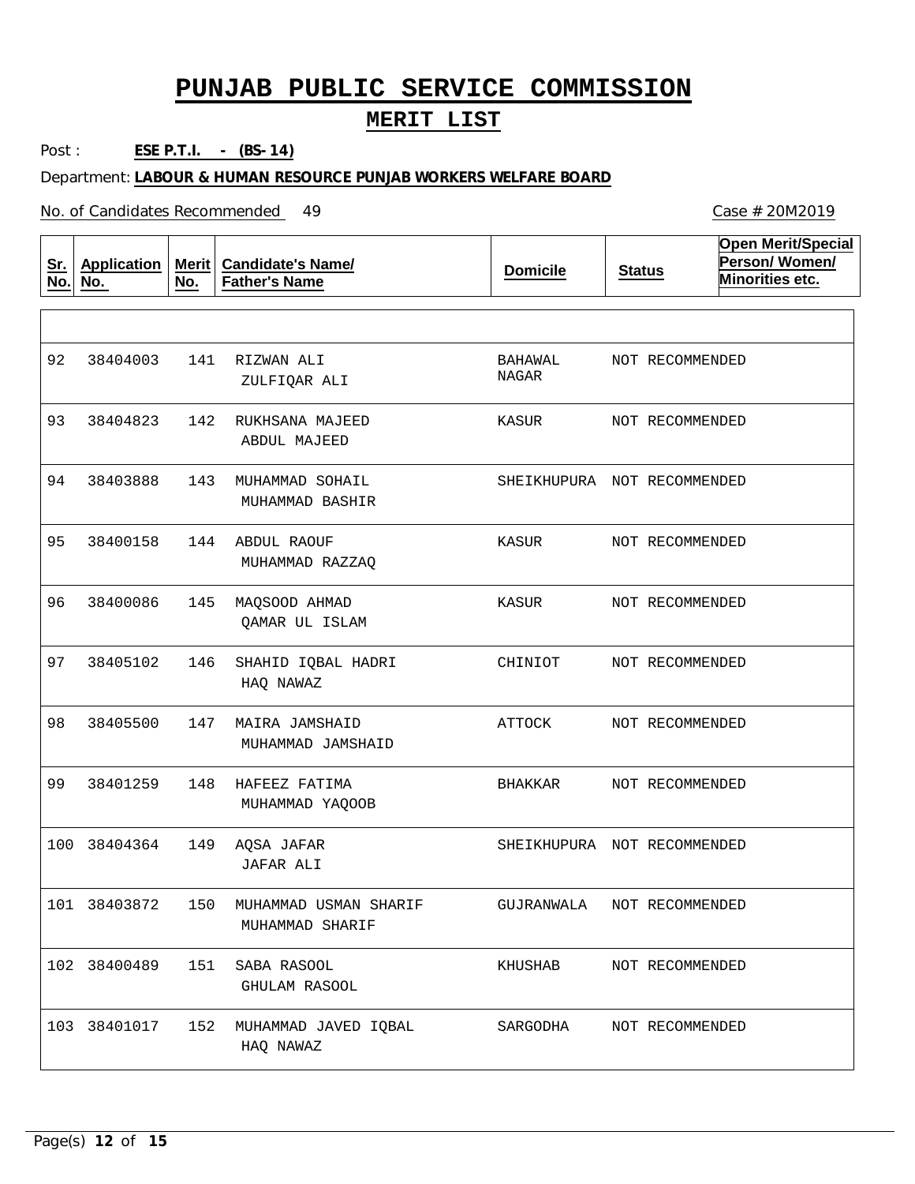#### **MERIT LIST**

Post : **ESE P.T.I. - (BS-14)**

Department: **LABOUR & HUMAN RESOURCE PUNJAB WORKERS WELFARE BOARD**

No. of Candidates Recommended

| <u>Sr.</u><br>No. | <b>Application</b><br>No. | Merit $ $<br>No. | <b>Candidate's Name/</b><br><b>Father's Name</b> | <b>Domicile</b>             | <b>Status</b>   | <b>Open Merit/Special</b><br>Person/Women/<br>Minorities etc. |
|-------------------|---------------------------|------------------|--------------------------------------------------|-----------------------------|-----------------|---------------------------------------------------------------|
|                   |                           |                  |                                                  |                             |                 |                                                               |
| 92                | 38404003                  | 141              | RIZWAN ALI<br>ZULFIQAR ALI                       | BAHAWAL<br>NAGAR            | NOT RECOMMENDED |                                                               |
| 93                | 38404823                  | 142              | RUKHSANA MAJEED<br><b>ABDUL MAJEED</b>           | KASUR                       | NOT RECOMMENDED |                                                               |
| 94                | 38403888                  | 143              | MUHAMMAD SOHAIL<br>MUHAMMAD BASHIR               | SHEIKHUPURA NOT RECOMMENDED |                 |                                                               |
| 95                | 38400158                  | 144              | ABDUL RAOUF<br>MUHAMMAD RAZZAQ                   | KASUR                       | NOT RECOMMENDED |                                                               |
| 96                | 38400086                  | 145              | MAQSOOD AHMAD<br>QAMAR UL ISLAM                  | KASUR                       | NOT RECOMMENDED |                                                               |
| 97                | 38405102                  | 146              | SHAHID IQBAL HADRI<br>HAQ NAWAZ                  | CHINIOT                     | NOT RECOMMENDED |                                                               |
| 98                | 38405500                  | 147              | MAIRA JAMSHAID<br>MUHAMMAD JAMSHAID              | ATTOCK                      | NOT RECOMMENDED |                                                               |
| 99                | 38401259                  | 148              | HAFEEZ FATIMA<br>MUHAMMAD YAQOOB                 | BHAKKAR                     | NOT RECOMMENDED |                                                               |
| 100               | 38404364                  | 149              | AQSA JAFAR<br>JAFAR ALI                          | SHEIKHUPURA NOT RECOMMENDED |                 |                                                               |
| 101               | 38403872                  | 150              | MUHAMMAD USMAN SHARIF<br>MUHAMMAD SHARIF         | GUJRANWALA                  | NOT RECOMMENDED |                                                               |
|                   | 102 38400489              | 151              | SABA RASOOL<br><b>GHULAM RASOOL</b>              | KHUSHAB                     | NOT RECOMMENDED |                                                               |
|                   | 103 38401017              | 152              | MUHAMMAD JAVED IQBAL<br>HAQ NAWAZ                | SARGODHA                    | NOT RECOMMENDED |                                                               |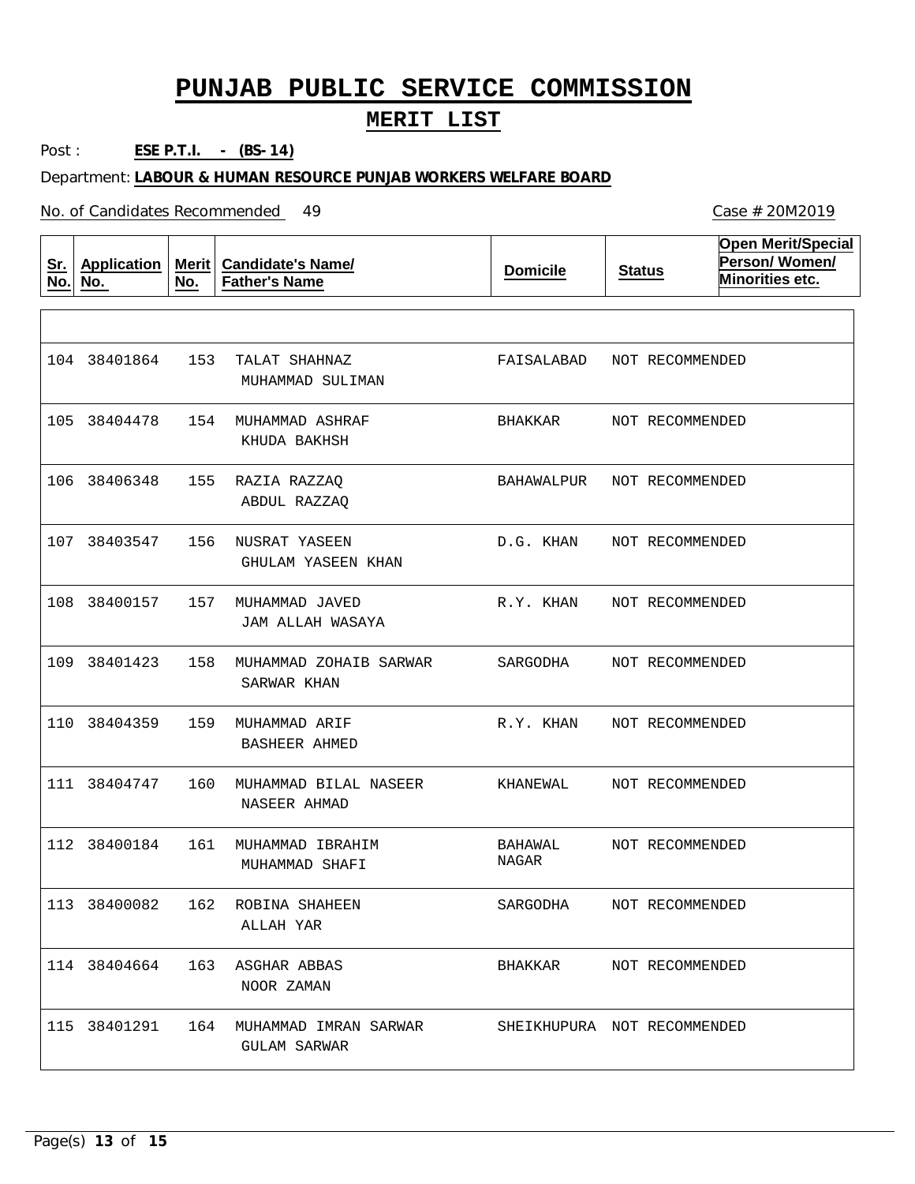#### **MERIT LIST**

Post : **ESE P.T.I. - (BS-14)**

Department: **LABOUR & HUMAN RESOURCE PUNJAB WORKERS WELFARE BOARD**

No. of Candidates Recommended

| <u>Sr.</u><br>No. | <b>Application</b><br>No. | <b>Merit</b><br>No. | <b>Candidate's Name/</b><br><b>Father's Name</b> | <b>Domicile</b>             | <b>Status</b> |                 | <b>Open Merit/Special</b><br>Person/Women/<br>Minorities etc. |
|-------------------|---------------------------|---------------------|--------------------------------------------------|-----------------------------|---------------|-----------------|---------------------------------------------------------------|
|                   |                           |                     |                                                  |                             |               |                 |                                                               |
|                   | 104 38401864              | 153                 | TALAT SHAHNAZ<br>MUHAMMAD SULIMAN                | FAISALABAD                  |               | NOT RECOMMENDED |                                                               |
|                   | 105 38404478              | 154                 | MUHAMMAD ASHRAF<br>KHUDA BAKHSH                  | BHAKKAR                     |               | NOT RECOMMENDED |                                                               |
| 106               | 38406348                  | 155                 | RAZIA RAZZAQ<br>ABDUL RAZZAQ                     | BAHAWALPUR                  |               | NOT RECOMMENDED |                                                               |
|                   | 107 38403547              | 156                 | NUSRAT YASEEN<br><b>GHULAM YASEEN KHAN</b>       | D.G. KHAN                   |               | NOT RECOMMENDED |                                                               |
|                   | 108 38400157              | 157                 | MUHAMMAD JAVED<br>JAM ALLAH WASAYA               | R.Y. KHAN                   |               | NOT RECOMMENDED |                                                               |
|                   | 109 38401423              | 158                 | MUHAMMAD ZOHAIB SARWAR<br>SARWAR KHAN            | SARGODHA                    |               | NOT RECOMMENDED |                                                               |
| 110               | 38404359                  | 159                 | MUHAMMAD ARIF<br><b>BASHEER AHMED</b>            | R.Y. KHAN                   |               | NOT RECOMMENDED |                                                               |
|                   | 111 38404747              | 160                 | MUHAMMAD BILAL NASEER<br>NASEER AHMAD            | KHANEWAL                    |               | NOT RECOMMENDED |                                                               |
|                   | 112 38400184              | 161                 | MUHAMMAD IBRAHIM<br>MUHAMMAD SHAFI               | <b>BAHAWAL</b><br>NAGAR     |               | NOT RECOMMENDED |                                                               |
|                   | 113 38400082              | 162                 | ROBINA SHAHEEN<br>ALLAH YAR                      | SARGODHA                    |               | NOT RECOMMENDED |                                                               |
|                   | 114 38404664              |                     | 163 ASGHAR ABBAS<br>NOOR ZAMAN                   | BHAKKAR                     |               | NOT RECOMMENDED |                                                               |
|                   | 115 38401291              |                     | 164 MUHAMMAD IMRAN SARWAR<br><b>GULAM SARWAR</b> | SHEIKHUPURA NOT RECOMMENDED |               |                 |                                                               |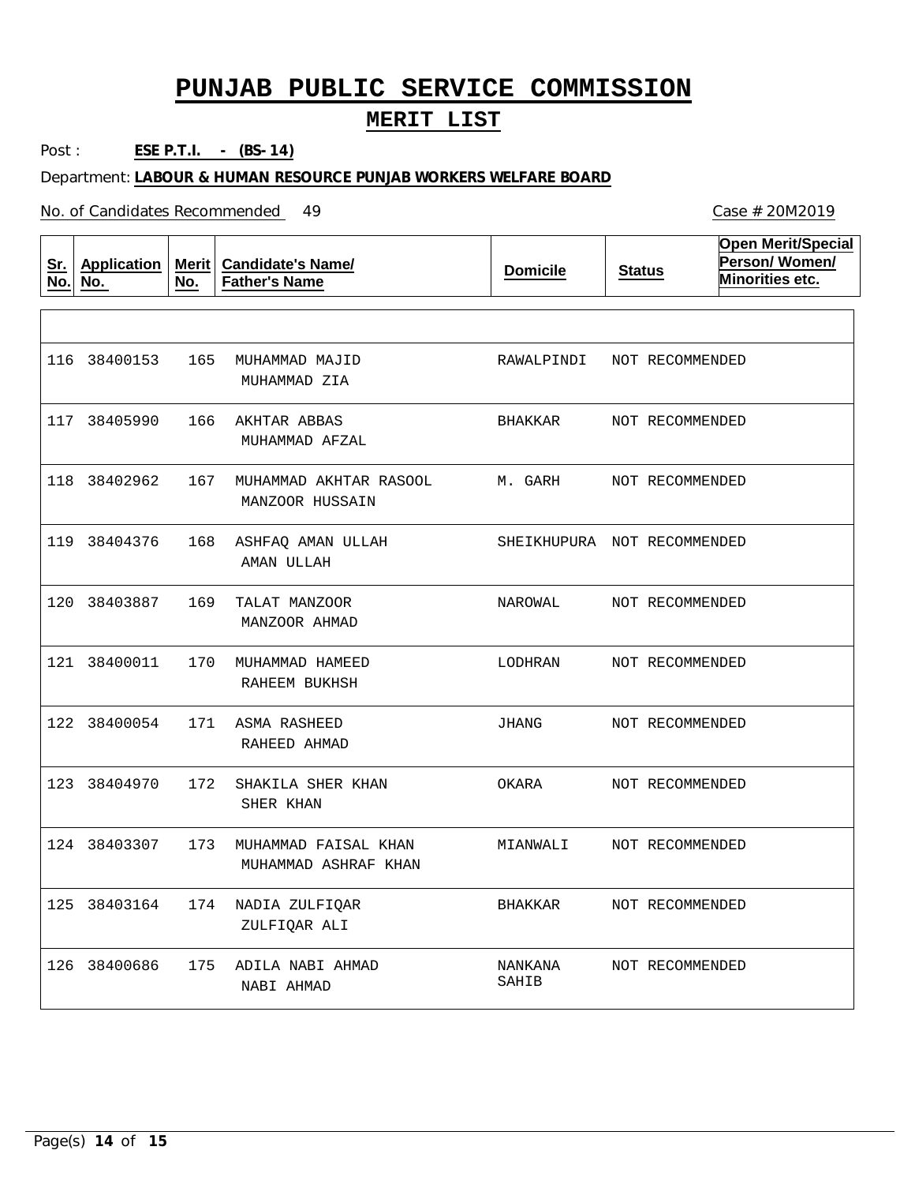#### **MERIT LIST**

Post : **ESE P.T.I. - (BS-14)**

Department: **LABOUR & HUMAN RESOURCE PUNJAB WORKERS WELFARE BOARD**

| Sr.<br>No. | <b>Application</b><br>No. | <b>Merit</b><br>No. | <b>Candidate's Name/</b><br><b>Father's Name</b> | <b>Domicile</b>  | <b>Status</b>               | <b>Open Merit/Special</b><br>Person/Women/<br>Minorities etc. |
|------------|---------------------------|---------------------|--------------------------------------------------|------------------|-----------------------------|---------------------------------------------------------------|
|            |                           |                     |                                                  |                  |                             |                                                               |
|            | 116 38400153              | 165                 | MUHAMMAD MAJID<br>MUHAMMAD ZIA                   | RAWALPINDI       | NOT RECOMMENDED             |                                                               |
|            | 117 38405990              | 166                 | AKHTAR ABBAS<br>MUHAMMAD AFZAL                   | BHAKKAR          | NOT RECOMMENDED             |                                                               |
|            | 118 38402962              | 167                 | MUHAMMAD AKHTAR RASOOL<br>MANZOOR HUSSAIN        | M. GARH          | NOT RECOMMENDED             |                                                               |
|            | 119 38404376              | 168                 | ASHFAQ AMAN ULLAH<br>AMAN ULLAH                  |                  | SHEIKHUPURA NOT RECOMMENDED |                                                               |
|            | 120 38403887              | 169                 | TALAT MANZOOR<br>MANZOOR AHMAD                   | NAROWAL          | NOT RECOMMENDED             |                                                               |
|            | 121 38400011              | 170                 | MUHAMMAD HAMEED<br>RAHEEM BUKHSH                 | LODHRAN          | NOT RECOMMENDED             |                                                               |
|            | 122 38400054              | 171                 | <b>ASMA RASHEED</b><br>RAHEED AHMAD              | JHANG            | NOT RECOMMENDED             |                                                               |
|            | 123 38404970              | 172                 | SHAKILA SHER KHAN<br>SHER KHAN                   | OKARA            | NOT RECOMMENDED             |                                                               |
|            | 124 38403307              | 173                 | MUHAMMAD FAISAL KHAN<br>MUHAMMAD ASHRAF KHAN     | MIANWALI         | NOT RECOMMENDED             |                                                               |
|            | 125 38403164              | 174                 | NADIA ZULFIQAR<br>ZULFIQAR ALI                   | <b>BHAKKAR</b>   | NOT RECOMMENDED             |                                                               |
| 126        | 38400686                  | 175                 | ADILA NABI AHMAD<br>NABI AHMAD                   | NANKANA<br>SAHIB | NOT RECOMMENDED             |                                                               |